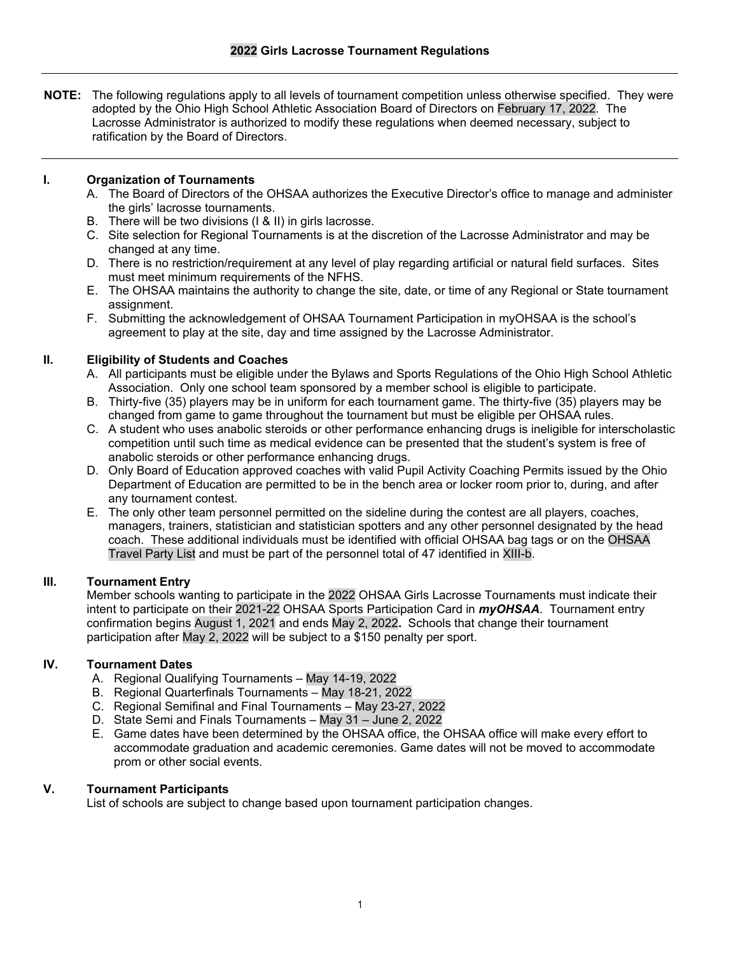**NOTE:** The following regulations apply to all levels of tournament competition unless otherwise specified. They were adopted by the Ohio High School Athletic Association Board of Directors on February 17, 2022. The Lacrosse Administrator is authorized to modify these regulations when deemed necessary, subject to ratification by the Board of Directors.

# **I. Organization of Tournaments**

- A. The Board of Directors of the OHSAA authorizes the Executive Director's office to manage and administer the girls' lacrosse tournaments.
- B. There will be two divisions (I & II) in girls lacrosse.
- C. Site selection for Regional Tournaments is at the discretion of the Lacrosse Administrator and may be changed at any time.
- D. There is no restriction/requirement at any level of play regarding artificial or natural field surfaces. Sites must meet minimum requirements of the NFHS.
- E. The OHSAA maintains the authority to change the site, date, or time of any Regional or State tournament assignment.
- F. Submitting the acknowledgement of OHSAA Tournament Participation in myOHSAA is the school's agreement to play at the site, day and time assigned by the Lacrosse Administrator.

## **II. Eligibility of Students and Coaches**

- A. All participants must be eligible under the Bylaws and Sports Regulations of the Ohio High School Athletic Association. Only one school team sponsored by a member school is eligible to participate.
- B. Thirty-five (35) players may be in uniform for each tournament game. The thirty-five (35) players may be changed from game to game throughout the tournament but must be eligible per OHSAA rules.
- C. A student who uses anabolic steroids or other performance enhancing drugs is ineligible for interscholastic competition until such time as medical evidence can be presented that the student's system is free of anabolic steroids or other performance enhancing drugs.
- D. Only Board of Education approved coaches with valid Pupil Activity Coaching Permits issued by the Ohio Department of Education are permitted to be in the bench area or locker room prior to, during, and after any tournament contest.
- E. The only other team personnel permitted on the sideline during the contest are all players, coaches, managers, trainers, statistician and statistician spotters and any other personnel designated by the head coach. These additional individuals must be identified with official OHSAA bag tags or on the OHSAA Travel Party List and must be part of the personnel total of 47 identified in XIII-b.

### **III. Tournament Entry**

Member schools wanting to participate in the 2022 OHSAA Girls Lacrosse Tournaments must indicate their intent to participate on their 2021-22 OHSAA Sports Participation Card in *myOHSAA*. Tournament entry confirmation begins August 1, 2021 and ends May 2, 2022**.** Schools that change their tournament participation after May 2, 2022 will be subject to a \$150 penalty per sport.

# **IV. Tournament Dates**

- A. Regional Qualifying Tournaments May 14-19, 2022
- B. Regional Quarterfinals Tournaments May 18-21, 2022
- C. Regional Semifinal and Final Tournaments May 23-27, 2022
- D. State Semi and Finals Tournaments May 31 June 2, 2022
- E. Game dates have been determined by the OHSAA office, the OHSAA office will make every effort to accommodate graduation and academic ceremonies. Game dates will not be moved to accommodate prom or other social events.

### **V. Tournament Participants**

List of schools are subject to change based upon tournament participation changes.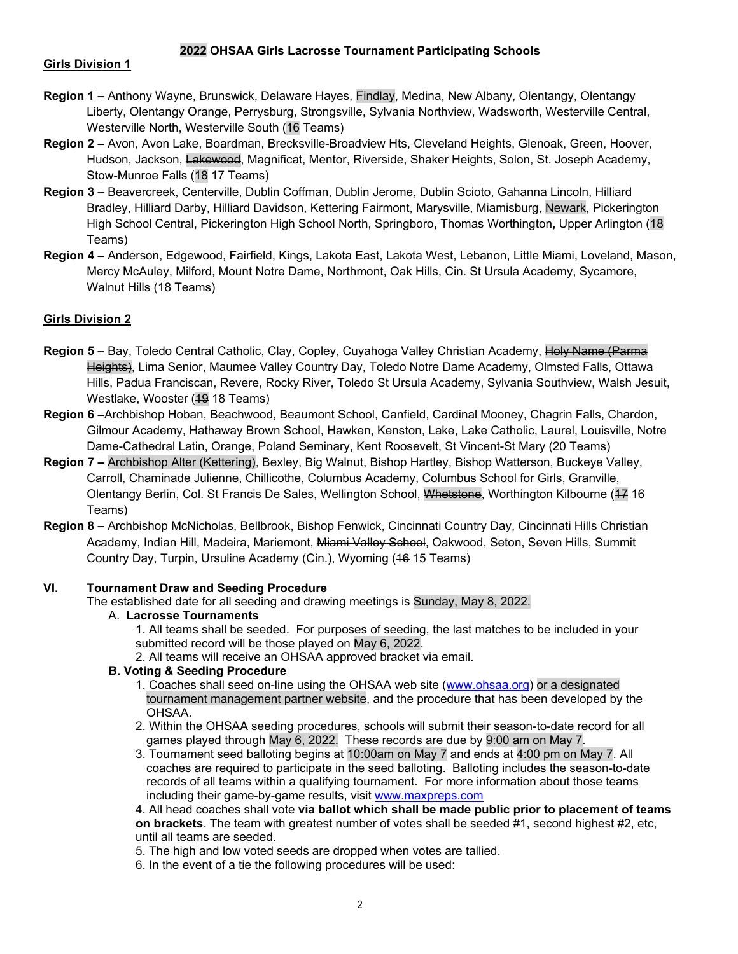# **2022 OHSAA Girls Lacrosse Tournament Participating Schools**

### **Girls Division 1**

- **Region 1 –** Anthony Wayne, Brunswick, Delaware Hayes, Findlay, Medina, New Albany, Olentangy, Olentangy Liberty, Olentangy Orange, Perrysburg, Strongsville, Sylvania Northview, Wadsworth, Westerville Central, Westerville North, Westerville South (16 Teams)
- **Region 2 –** Avon, Avon Lake, Boardman, Brecksville-Broadview Hts, Cleveland Heights, Glenoak, Green, Hoover, Hudson, Jackson, Lakewood, Magnificat, Mentor, Riverside, Shaker Heights, Solon, St. Joseph Academy, Stow-Munroe Falls (48 17 Teams)
- **Region 3** Beavercreek, Centerville, Dublin Coffman, Dublin Jerome, Dublin Scioto, Gahanna Lincoln, Hilliard Bradley, Hilliard Darby, Hilliard Davidson, Kettering Fairmont, Marysville, Miamisburg, Newark, Pickerington High School Central, Pickerington High School North, Springboro**,** Thomas Worthington**,** Upper Arlington (18 Teams)
- **Region 4** Anderson, Edgewood, Fairfield, Kings, Lakota East, Lakota West, Lebanon, Little Miami, Loveland, Mason, Mercy McAuley, Milford, Mount Notre Dame, Northmont, Oak Hills, Cin. St Ursula Academy, Sycamore, Walnut Hills (18 Teams)

## **Girls Division 2**

- Region 5 Bay, Toledo Central Catholic, Clay, Copley, Cuyahoga Valley Christian Academy, Holy Name (Parma Heights), Lima Senior, Maumee Valley Country Day, Toledo Notre Dame Academy, Olmsted Falls, Ottawa Hills, Padua Franciscan, Revere, Rocky River, Toledo St Ursula Academy, Sylvania Southview, Walsh Jesuit, Westlake, Wooster (49 18 Teams)
- **Region 6 –**Archbishop Hoban, Beachwood, Beaumont School, Canfield, Cardinal Mooney, Chagrin Falls, Chardon, Gilmour Academy, Hathaway Brown School, Hawken, Kenston, Lake, Lake Catholic, Laurel, Louisville, Notre Dame-Cathedral Latin, Orange, Poland Seminary, Kent Roosevelt, St Vincent-St Mary (20 Teams)
- **Region 7** Archbishop Alter (Kettering), Bexley, Big Walnut, Bishop Hartley, Bishop Watterson, Buckeye Valley, Carroll, Chaminade Julienne, Chillicothe, Columbus Academy, Columbus School for Girls, Granville, Olentangy Berlin, Col. St Francis De Sales, Wellington School, Whetstone, Worthington Kilbourne (17 16 Teams)
- **Region 8 –** Archbishop McNicholas, Bellbrook, Bishop Fenwick, Cincinnati Country Day, Cincinnati Hills Christian Academy, Indian Hill, Madeira, Mariemont, Miami Valley School, Oakwood, Seton, Seven Hills, Summit Country Day, Turpin, Ursuline Academy (Cin.), Wyoming (16 15 Teams)

### **VI. Tournament Draw and Seeding Procedure**

The established date for all seeding and drawing meetings is Sunday, May 8, 2022.

## A. **Lacrosse Tournaments**

1. All teams shall be seeded. For purposes of seeding, the last matches to be included in your submitted record will be those played on May 6, 2022.

2. All teams will receive an OHSAA approved bracket via email.

### **B. Voting & Seeding Procedure**

- 1. Coaches shall seed on-line using the OHSAA web site (www.ohsaa.org) or a designated tournament management partner website, and the procedure that has been developed by the OHSAA.
- 2. Within the OHSAA seeding procedures, schools will submit their season-to-date record for all games played through May 6, 2022. These records are due by 9:00 am on May 7.
- 3. Tournament seed balloting begins at 10:00am on May 7 and ends at 4:00 pm on May 7. All coaches are required to participate in the seed balloting. Balloting includes the season-to-date records of all teams within a qualifying tournament. For more information about those teams including their game-by-game results, visit www.maxpreps.com

4. All head coaches shall vote **via ballot which shall be made public prior to placement of teams on brackets**. The team with greatest number of votes shall be seeded #1, second highest #2, etc. until all teams are seeded.

- 5. The high and low voted seeds are dropped when votes are tallied.
- 6. In the event of a tie the following procedures will be used: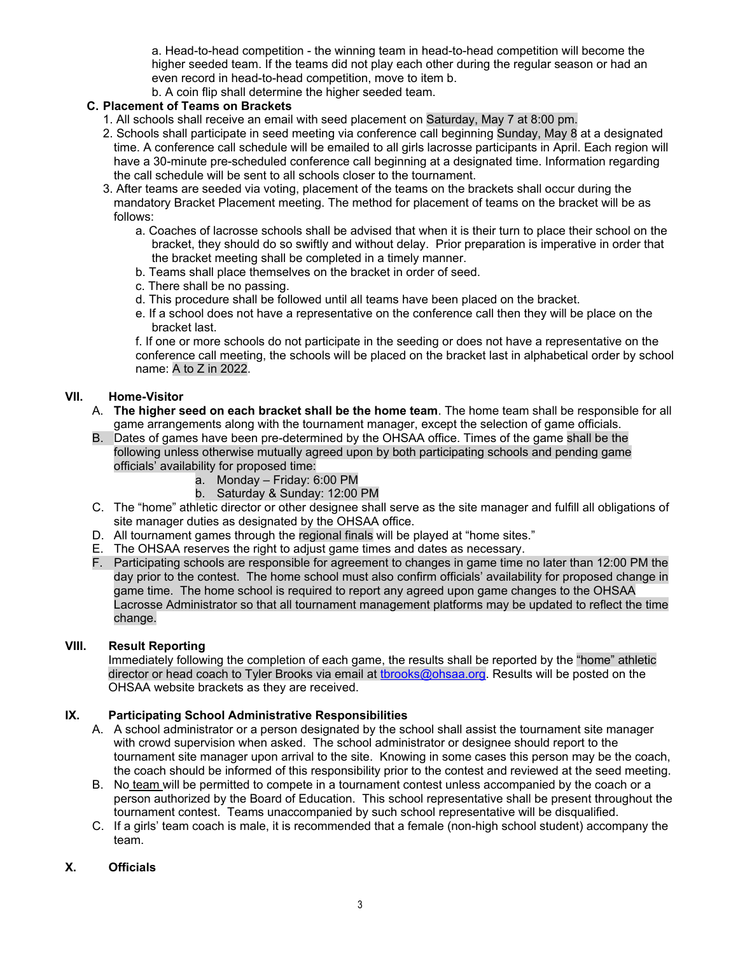a. Head-to-head competition - the winning team in head-to-head competition will become the higher seeded team. If the teams did not play each other during the regular season or had an even record in head-to-head competition, move to item b.

b. A coin flip shall determine the higher seeded team.

# **C. Placement of Teams on Brackets**

- 1. All schools shall receive an email with seed placement on Saturday, May 7 at 8:00 pm.
- 2. Schools shall participate in seed meeting via conference call beginning Sunday, May 8 at a designated time. A conference call schedule will be emailed to all girls lacrosse participants in April. Each region will have a 30-minute pre-scheduled conference call beginning at a designated time. Information regarding the call schedule will be sent to all schools closer to the tournament.
- 3. After teams are seeded via voting, placement of the teams on the brackets shall occur during the mandatory Bracket Placement meeting. The method for placement of teams on the bracket will be as follows:
	- a. Coaches of lacrosse schools shall be advised that when it is their turn to place their school on the bracket, they should do so swiftly and without delay. Prior preparation is imperative in order that the bracket meeting shall be completed in a timely manner.
	- b. Teams shall place themselves on the bracket in order of seed.
	- c. There shall be no passing.
	- d. This procedure shall be followed until all teams have been placed on the bracket.
	- e. If a school does not have a representative on the conference call then they will be place on the bracket last.

f. If one or more schools do not participate in the seeding or does not have a representative on the conference call meeting, the schools will be placed on the bracket last in alphabetical order by school name: A to Z in 2022.

# **VII. Home-Visitor**

- A. **The higher seed on each bracket shall be the home team**. The home team shall be responsible for all game arrangements along with the tournament manager, except the selection of game officials.
- B. Dates of games have been pre-determined by the OHSAA office. Times of the game shall be the following unless otherwise mutually agreed upon by both participating schools and pending game officials' availability for proposed time:
	- a. Monday Friday: 6:00 PM
	- b. Saturday & Sunday: 12:00 PM
- C. The "home" athletic director or other designee shall serve as the site manager and fulfill all obligations of site manager duties as designated by the OHSAA office.
- D. All tournament games through the regional finals will be played at "home sites."
- E. The OHSAA reserves the right to adjust game times and dates as necessary.
- F. Participating schools are responsible for agreement to changes in game time no later than 12:00 PM the day prior to the contest. The home school must also confirm officials' availability for proposed change in game time. The home school is required to report any agreed upon game changes to the OHSAA Lacrosse Administrator so that all tournament management platforms may be updated to reflect the time change.

### **VIII. Result Reporting**

Immediately following the completion of each game, the results shall be reported by the "home" athletic director or head coach to Tyler Brooks via email at tbrooks@ohsaa.org. Results will be posted on the OHSAA website brackets as they are received.

# **IX. Participating School Administrative Responsibilities**

- A. A school administrator or a person designated by the school shall assist the tournament site manager with crowd supervision when asked. The school administrator or designee should report to the tournament site manager upon arrival to the site. Knowing in some cases this person may be the coach, the coach should be informed of this responsibility prior to the contest and reviewed at the seed meeting.
- B. No team will be permitted to compete in a tournament contest unless accompanied by the coach or a person authorized by the Board of Education. This school representative shall be present throughout the tournament contest. Teams unaccompanied by such school representative will be disqualified.
- C. If a girls' team coach is male, it is recommended that a female (non-high school student) accompany the team.

## **X. Officials**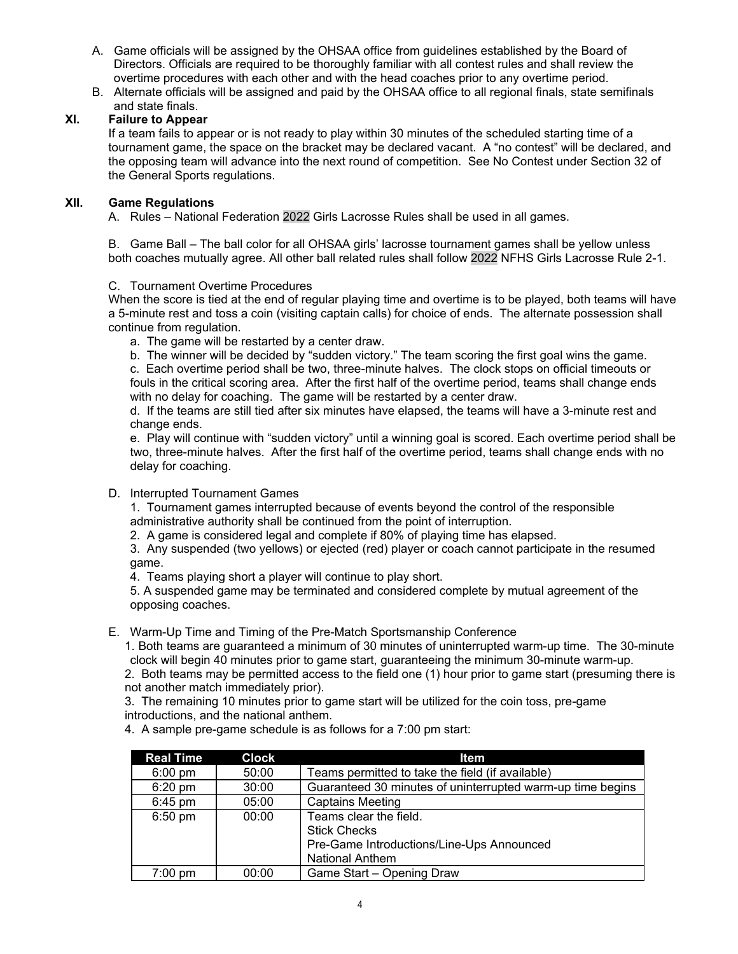- A. Game officials will be assigned by the OHSAA office from guidelines established by the Board of Directors. Officials are required to be thoroughly familiar with all contest rules and shall review the overtime procedures with each other and with the head coaches prior to any overtime period.
- B. Alternate officials will be assigned and paid by the OHSAA office to all regional finals, state semifinals and state finals.

# **XI. Failure to Appear**

If a team fails to appear or is not ready to play within 30 minutes of the scheduled starting time of a tournament game, the space on the bracket may be declared vacant. A "no contest" will be declared, and the opposing team will advance into the next round of competition. See No Contest under Section 32 of the General Sports regulations.

# **XII. Game Regulations**

A. Rules – National Federation 2022 Girls Lacrosse Rules shall be used in all games.

B. Game Ball – The ball color for all OHSAA girls' lacrosse tournament games shall be yellow unless both coaches mutually agree. All other ball related rules shall follow 2022 NFHS Girls Lacrosse Rule 2-1.

## C. Tournament Overtime Procedures

When the score is tied at the end of regular playing time and overtime is to be played, both teams will have a 5-minute rest and toss a coin (visiting captain calls) for choice of ends. The alternate possession shall continue from regulation.

- a. The game will be restarted by a center draw.
- b. The winner will be decided by "sudden victory." The team scoring the first goal wins the game.

 c. Each overtime period shall be two, three-minute halves. The clock stops on official timeouts or fouls in the critical scoring area. After the first half of the overtime period, teams shall change ends with no delay for coaching. The game will be restarted by a center draw.

 d. If the teams are still tied after six minutes have elapsed, the teams will have a 3-minute rest and change ends.

 e. Play will continue with "sudden victory" until a winning goal is scored. Each overtime period shall be two, three-minute halves. After the first half of the overtime period, teams shall change ends with no delay for coaching.

### D. Interrupted Tournament Games

 1. Tournament games interrupted because of events beyond the control of the responsible administrative authority shall be continued from the point of interruption.

2. A game is considered legal and complete if 80% of playing time has elapsed.

 3. Any suspended (two yellows) or ejected (red) player or coach cannot participate in the resumed game.

4. Teams playing short a player will continue to play short.

 5. A suspended game may be terminated and considered complete by mutual agreement of the opposing coaches.

E. Warm-Up Time and Timing of the Pre-Match Sportsmanship Conference

 1. Both teams are guaranteed a minimum of 30 minutes of uninterrupted warm-up time. The 30-minute clock will begin 40 minutes prior to game start, guaranteeing the minimum 30-minute warm-up.

 2. Both teams may be permitted access to the field one (1) hour prior to game start (presuming there is not another match immediately prior).

 3. The remaining 10 minutes prior to game start will be utilized for the coin toss, pre-game introductions, and the national anthem.

4. A sample pre-game schedule is as follows for a 7:00 pm start:

| <b>Real Time</b>  | <b>Clock</b> | <b>Item</b>                                                                                                          |  |  |
|-------------------|--------------|----------------------------------------------------------------------------------------------------------------------|--|--|
| $6:00 \text{ pm}$ | 50:00        | Teams permitted to take the field (if available)                                                                     |  |  |
| $6:20$ pm         | 30:00        | Guaranteed 30 minutes of uninterrupted warm-up time begins                                                           |  |  |
| $6:45$ pm         | 05:00        | <b>Captains Meeting</b>                                                                                              |  |  |
| $6:50$ pm         | 00:00        | Teams clear the field.<br><b>Stick Checks</b><br>Pre-Game Introductions/Line-Ups Announced<br><b>National Anthem</b> |  |  |
| $7:00$ pm         | 00:00        | Game Start - Opening Draw                                                                                            |  |  |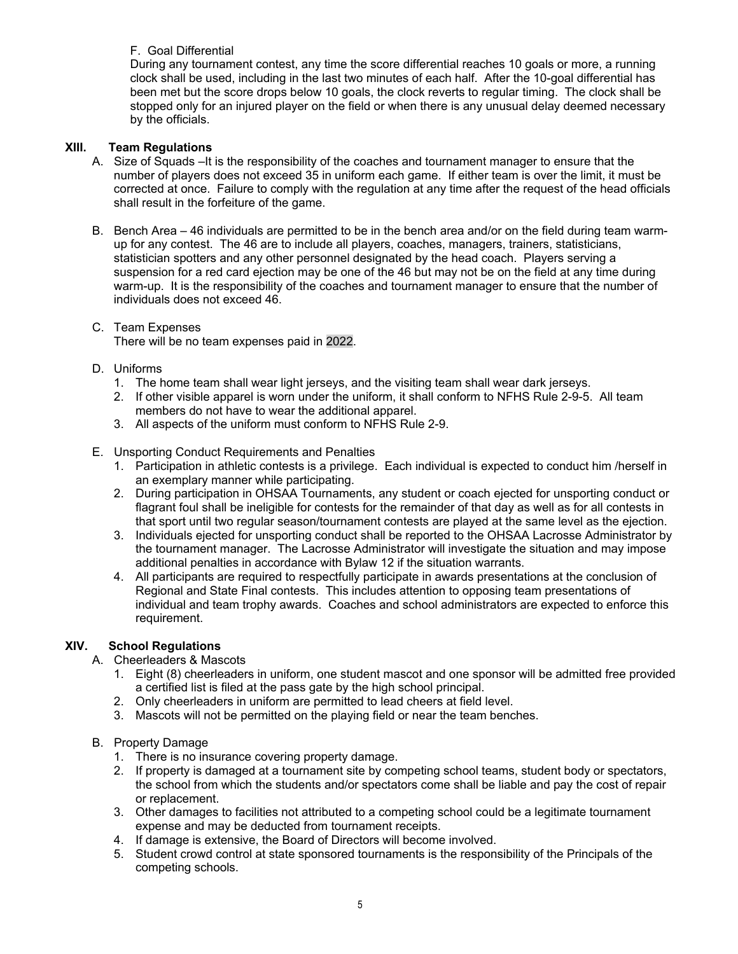# F. Goal Differential

During any tournament contest, any time the score differential reaches 10 goals or more, a running clock shall be used, including in the last two minutes of each half. After the 10-goal differential has been met but the score drops below 10 goals, the clock reverts to regular timing. The clock shall be stopped only for an injured player on the field or when there is any unusual delay deemed necessary by the officials.

# **XIII. Team Regulations**

- A. Size of Squads –It is the responsibility of the coaches and tournament manager to ensure that the number of players does not exceed 35 in uniform each game. If either team is over the limit, it must be corrected at once. Failure to comply with the regulation at any time after the request of the head officials shall result in the forfeiture of the game.
- B. Bench Area 46 individuals are permitted to be in the bench area and/or on the field during team warmup for any contest. The 46 are to include all players, coaches, managers, trainers, statisticians, statistician spotters and any other personnel designated by the head coach. Players serving a suspension for a red card ejection may be one of the 46 but may not be on the field at any time during warm-up. It is the responsibility of the coaches and tournament manager to ensure that the number of individuals does not exceed 46.

#### C. Team Expenses There will be no team expenses paid in 2022.

- D. Uniforms
	- 1. The home team shall wear light jerseys, and the visiting team shall wear dark jerseys.
	- 2. If other visible apparel is worn under the uniform, it shall conform to NFHS Rule 2-9-5. All team members do not have to wear the additional apparel.
	- 3. All aspects of the uniform must conform to NFHS Rule 2-9.

## E. Unsporting Conduct Requirements and Penalties

- 1. Participation in athletic contests is a privilege. Each individual is expected to conduct him /herself in an exemplary manner while participating.
- 2. During participation in OHSAA Tournaments, any student or coach ejected for unsporting conduct or flagrant foul shall be ineligible for contests for the remainder of that day as well as for all contests in that sport until two regular season/tournament contests are played at the same level as the ejection.
- 3. Individuals ejected for unsporting conduct shall be reported to the OHSAA Lacrosse Administrator by the tournament manager. The Lacrosse Administrator will investigate the situation and may impose additional penalties in accordance with Bylaw 12 if the situation warrants.
- 4. All participants are required to respectfully participate in awards presentations at the conclusion of Regional and State Final contests. This includes attention to opposing team presentations of individual and team trophy awards. Coaches and school administrators are expected to enforce this requirement.

# **XIV. School Regulations**

- A. Cheerleaders & Mascots
	- 1. Eight (8) cheerleaders in uniform, one student mascot and one sponsor will be admitted free provided a certified list is filed at the pass gate by the high school principal.
	- 2. Only cheerleaders in uniform are permitted to lead cheers at field level.
	- 3. Mascots will not be permitted on the playing field or near the team benches.
- B. Property Damage
	- 1. There is no insurance covering property damage.
	- 2. If property is damaged at a tournament site by competing school teams, student body or spectators, the school from which the students and/or spectators come shall be liable and pay the cost of repair or replacement.
	- 3. Other damages to facilities not attributed to a competing school could be a legitimate tournament expense and may be deducted from tournament receipts.
	- 4. If damage is extensive, the Board of Directors will become involved.
	- 5. Student crowd control at state sponsored tournaments is the responsibility of the Principals of the competing schools.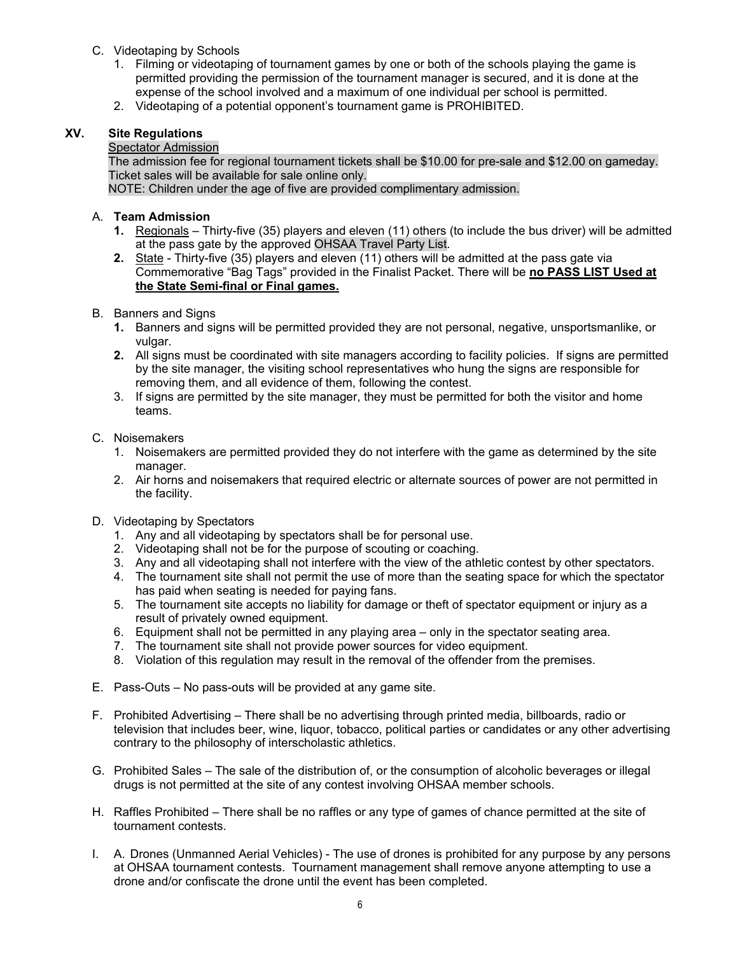- C. Videotaping by Schools
	- 1. Filming or videotaping of tournament games by one or both of the schools playing the game is permitted providing the permission of the tournament manager is secured, and it is done at the expense of the school involved and a maximum of one individual per school is permitted.
	- 2. Videotaping of a potential opponent's tournament game is PROHIBITED.

# **XV. Site Regulations**

# Spectator Admission

The admission fee for regional tournament tickets shall be \$10.00 for pre-sale and \$12.00 on gameday. Ticket sales will be available for sale online only.

NOTE: Children under the age of five are provided complimentary admission.

# A. **Team Admission**

- **1.** Regionals Thirty-five (35) players and eleven (11) others (to include the bus driver) will be admitted at the pass gate by the approved OHSAA Travel Party List.
- **2.** State Thirty-five (35) players and eleven (11) others will be admitted at the pass gate via Commemorative "Bag Tags" provided in the Finalist Packet. There will be **no PASS LIST Used at the State Semi-final or Final games.**
- B. Banners and Signs
	- **1.** Banners and signs will be permitted provided they are not personal, negative, unsportsmanlike, or vulgar.
	- **2.** All signs must be coordinated with site managers according to facility policies. If signs are permitted by the site manager, the visiting school representatives who hung the signs are responsible for removing them, and all evidence of them, following the contest.
	- 3. If signs are permitted by the site manager, they must be permitted for both the visitor and home teams.

## C. Noisemakers

- 1. Noisemakers are permitted provided they do not interfere with the game as determined by the site manager.
- 2. Air horns and noisemakers that required electric or alternate sources of power are not permitted in the facility.
- D. Videotaping by Spectators
	- 1. Any and all videotaping by spectators shall be for personal use.
	- 2. Videotaping shall not be for the purpose of scouting or coaching.
	- 3. Any and all videotaping shall not interfere with the view of the athletic contest by other spectators.
	- 4. The tournament site shall not permit the use of more than the seating space for which the spectator has paid when seating is needed for paying fans.
	- 5. The tournament site accepts no liability for damage or theft of spectator equipment or injury as a result of privately owned equipment.
	- 6. Equipment shall not be permitted in any playing area only in the spectator seating area.
	- 7. The tournament site shall not provide power sources for video equipment.
	- 8. Violation of this regulation may result in the removal of the offender from the premises.
- E. Pass-Outs No pass-outs will be provided at any game site.
- F. Prohibited Advertising There shall be no advertising through printed media, billboards, radio or television that includes beer, wine, liquor, tobacco, political parties or candidates or any other advertising contrary to the philosophy of interscholastic athletics.
- G. Prohibited Sales The sale of the distribution of, or the consumption of alcoholic beverages or illegal drugs is not permitted at the site of any contest involving OHSAA member schools.
- H. Raffles Prohibited There shall be no raffles or any type of games of chance permitted at the site of tournament contests.
- I. A. Drones (Unmanned Aerial Vehicles) The use of drones is prohibited for any purpose by any persons at OHSAA tournament contests. Tournament management shall remove anyone attempting to use a drone and/or confiscate the drone until the event has been completed.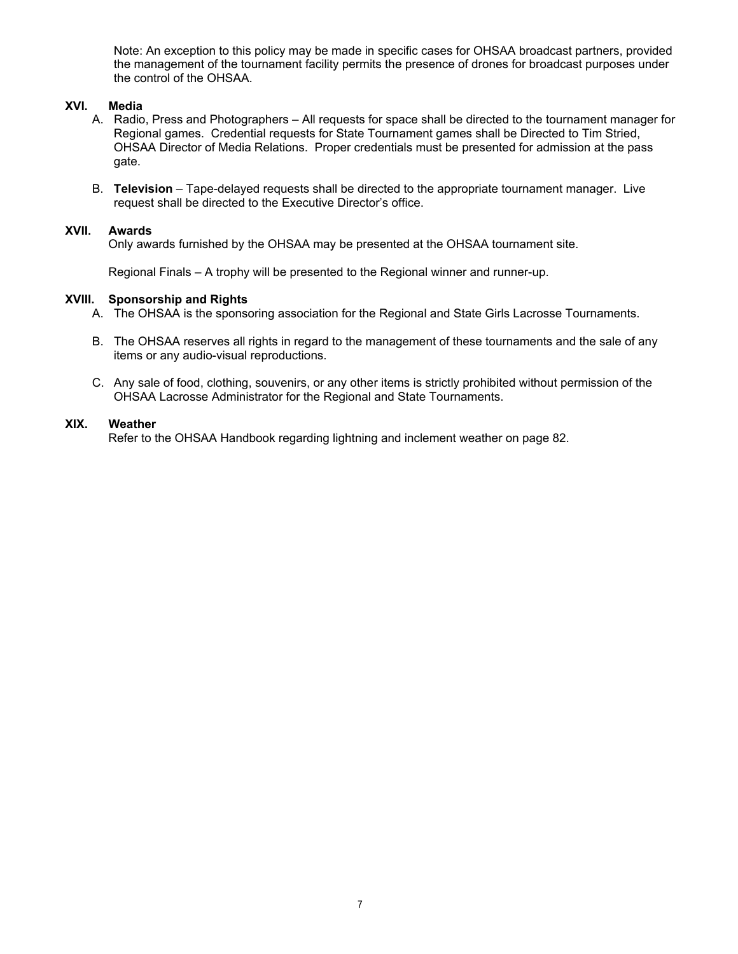Note: An exception to this policy may be made in specific cases for OHSAA broadcast partners, provided the management of the tournament facility permits the presence of drones for broadcast purposes under the control of the OHSAA.

## **XVI. Media**

- A. Radio, Press and Photographers All requests for space shall be directed to the tournament manager for Regional games. Credential requests for State Tournament games shall be Directed to Tim Stried, OHSAA Director of Media Relations. Proper credentials must be presented for admission at the pass gate.
- B. **Television** Tape-delayed requests shall be directed to the appropriate tournament manager. Live request shall be directed to the Executive Director's office.

### **XVII. Awards**

Only awards furnished by the OHSAA may be presented at the OHSAA tournament site.

Regional Finals – A trophy will be presented to the Regional winner and runner-up.

### **XVIII. Sponsorship and Rights**

- A. The OHSAA is the sponsoring association for the Regional and State Girls Lacrosse Tournaments.
- B. The OHSAA reserves all rights in regard to the management of these tournaments and the sale of any items or any audio-visual reproductions.
- C. Any sale of food, clothing, souvenirs, or any other items is strictly prohibited without permission of the OHSAA Lacrosse Administrator for the Regional and State Tournaments.

## **XIX. Weather**

Refer to the OHSAA Handbook regarding lightning and inclement weather on page 82.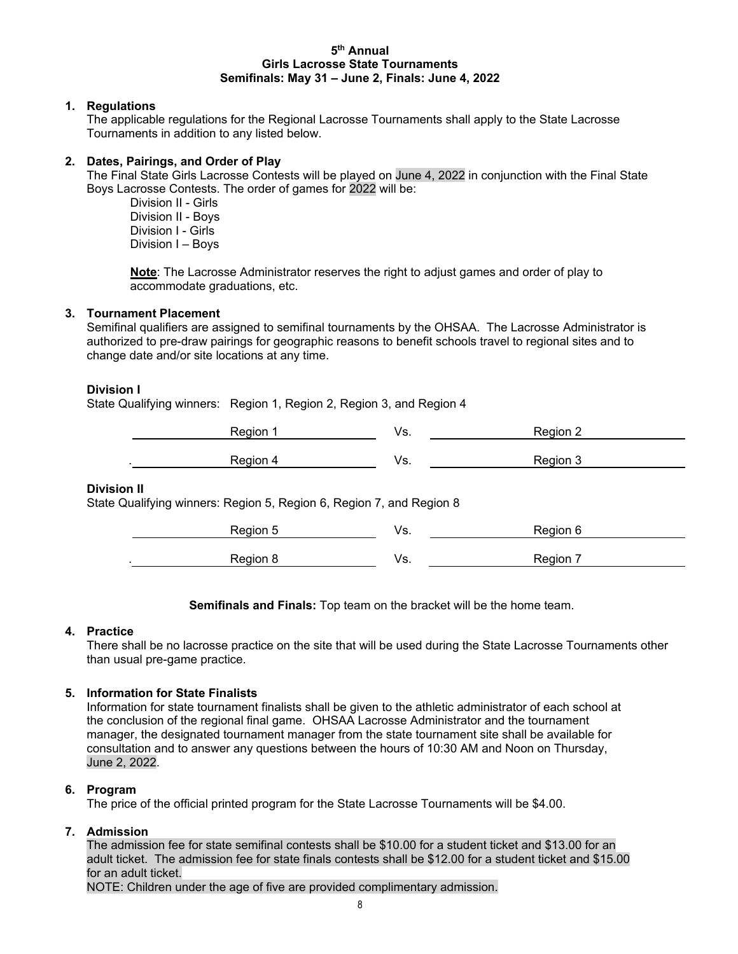#### **5th Annual Girls Lacrosse State Tournaments Semifinals: May 31 – June 2, Finals: June 4, 2022**

## **1. Regulations**

The applicable regulations for the Regional Lacrosse Tournaments shall apply to the State Lacrosse Tournaments in addition to any listed below.

## **2. Dates, Pairings, and Order of Play**

The Final State Girls Lacrosse Contests will be played on June 4, 2022 in conjunction with the Final State Boys Lacrosse Contests. The order of games for 2022 will be:

 Division II - Girls Division II - Boys Division I - Girls Division I – Boys

**Note**: The Lacrosse Administrator reserves the right to adjust games and order of play to accommodate graduations, etc.

# **3. Tournament Placement**

Semifinal qualifiers are assigned to semifinal tournaments by the OHSAA. The Lacrosse Administrator is authorized to pre-draw pairings for geographic reasons to benefit schools travel to regional sites and to change date and/or site locations at any time.

## **Division I**

State Qualifying winners: Region 1, Region 2, Region 3, and Region 4

| Region<br>Ragion<br>və. |  |
|-------------------------|--|

### **Division II**

State Qualifying winners: Region 5, Region 6, Region 7, and Region 8

| <b>Pegion</b> | ٠. | Region<br>ı |  |
|---------------|----|-------------|--|
| Dogion        | ۰  | -<br>Region |  |

**Semifinals and Finals:** Top team on the bracket will be the home team.

### **4. Practice**

There shall be no lacrosse practice on the site that will be used during the State Lacrosse Tournaments other than usual pre-game practice.

### **5. Information for State Finalists**

Information for state tournament finalists shall be given to the athletic administrator of each school at the conclusion of the regional final game. OHSAA Lacrosse Administrator and the tournament manager, the designated tournament manager from the state tournament site shall be available for consultation and to answer any questions between the hours of 10:30 AM and Noon on Thursday, June 2, 2022.

### **6. Program**

The price of the official printed program for the State Lacrosse Tournaments will be \$4.00.

### **7. Admission**

The admission fee for state semifinal contests shall be \$10.00 for a student ticket and \$13.00 for an adult ticket. The admission fee for state finals contests shall be \$12.00 for a student ticket and \$15.00 for an adult ticket.

NOTE: Children under the age of five are provided complimentary admission.